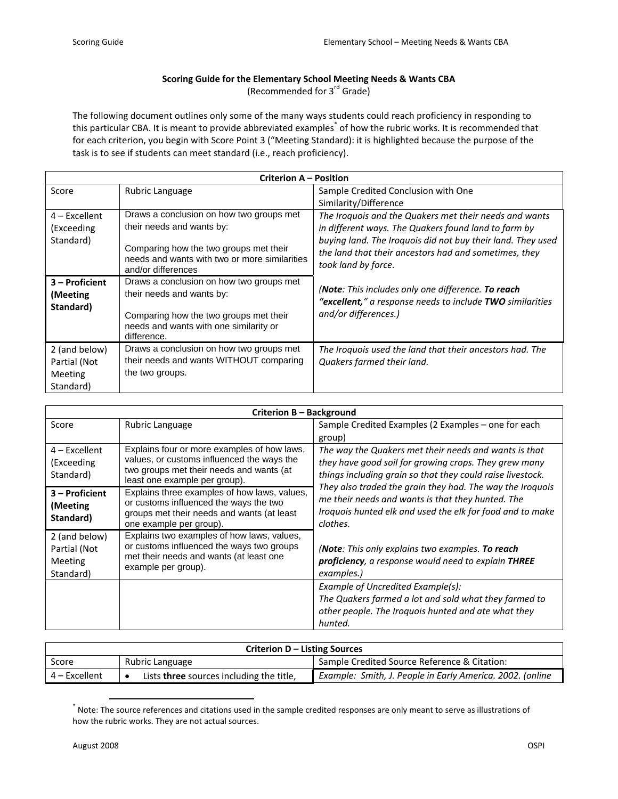## **Scoring Guide for the Elementary School Meeting Needs & Wants CBA**

(Recommended for 3<sup>rd</sup> Grade)

The following document outlines only some of the many ways students could reach proficiency in responding to this particular CBA. It is meant to provide abbreviated examples<sup>\*</sup> of how the rubric works. It is recommended that for each criterion, you begin with Score Point 3 ("Meeting Standard): it is highlighted because the purpose of the task is to see if students can meet standard (i.e., reach proficiency).

| Criterion A - Position                                |                                                                                                                                                                          |                                                                                                                                             |  |  |
|-------------------------------------------------------|--------------------------------------------------------------------------------------------------------------------------------------------------------------------------|---------------------------------------------------------------------------------------------------------------------------------------------|--|--|
| Score                                                 | Rubric Language                                                                                                                                                          | Sample Credited Conclusion with One                                                                                                         |  |  |
|                                                       |                                                                                                                                                                          | Similarity/Difference                                                                                                                       |  |  |
| $4$ – Excellent                                       | Draws a conclusion on how two groups met                                                                                                                                 | The Iroquois and the Quakers met their needs and wants                                                                                      |  |  |
| (Exceeding                                            | their needs and wants by:                                                                                                                                                | in different ways. The Quakers found land to farm by                                                                                        |  |  |
| Standard)                                             | Comparing how the two groups met their<br>needs and wants with two or more similarities<br>and/or differences                                                            | buying land. The Iroquois did not buy their land. They used<br>the land that their ancestors had and sometimes, they<br>took land by force. |  |  |
| 3 – Proficient<br>(Meeting<br>Standard)               | Draws a conclusion on how two groups met<br>their needs and wants by:<br>Comparing how the two groups met their<br>needs and wants with one similarity or<br>difference. | (Note: This includes only one difference. To reach<br>"excellent," a response needs to include TWO similarities<br>and/or differences.)     |  |  |
| 2 (and below)<br>Partial (Not<br>Meeting<br>Standard) | Draws a conclusion on how two groups met<br>their needs and wants WITHOUT comparing<br>the two groups.                                                                   | The Iroquois used the land that their ancestors had. The<br>Quakers farmed their land.                                                      |  |  |

| Criterion B – Background                              |                                                                                                                                                                        |                                                                                                                                                                                         |  |  |
|-------------------------------------------------------|------------------------------------------------------------------------------------------------------------------------------------------------------------------------|-----------------------------------------------------------------------------------------------------------------------------------------------------------------------------------------|--|--|
| Score                                                 | Rubric Language                                                                                                                                                        | Sample Credited Examples (2 Examples – one for each<br>group)                                                                                                                           |  |  |
| $4$ – Excellent<br>(Exceeding<br>Standard)            | Explains four or more examples of how laws,<br>values, or customs influenced the ways the<br>two groups met their needs and wants (at<br>least one example per group). | The way the Quakers met their needs and wants is that<br>they have good soil for growing crops. They grew many<br>things including grain so that they could raise livestock.            |  |  |
| $3 -$ Proficient<br>(Meeting)<br>Standard)            | Explains three examples of how laws, values,<br>or customs influenced the ways the two<br>groups met their needs and wants (at least<br>one example per group).        | They also traded the grain they had. The way the Iroquois<br>me their needs and wants is that they hunted. The<br>Iroquois hunted elk and used the elk for food and to make<br>clothes. |  |  |
| 2 (and below)<br>Partial (Not<br>Meeting<br>Standard) | Explains two examples of how laws, values,<br>or customs influenced the ways two groups<br>met their needs and wants (at least one<br>example per group).              | (Note: This only explains two examples. To reach<br>proficiency, a response would need to explain THREE<br>examples.)                                                                   |  |  |
|                                                       |                                                                                                                                                                        | Example of Uncredited Example(s):<br>The Quakers farmed a lot and sold what they farmed to<br>other people. The Iroquois hunted and ate what they<br>hunted.                            |  |  |

| Criterion D – Listing Sources |                                          |                                                           |  |  |
|-------------------------------|------------------------------------------|-----------------------------------------------------------|--|--|
| Score                         | Rubric Language                          | Sample Credited Source Reference & Citation:              |  |  |
| $4$ – Excellent               | Lists three sources including the title, | Example: Smith, J. People in Early America. 2002. (online |  |  |

 \* Note: The source references and citations used in the sample credited responses are only meant to serve as illustrations of how the rubric works. They are not actual sources.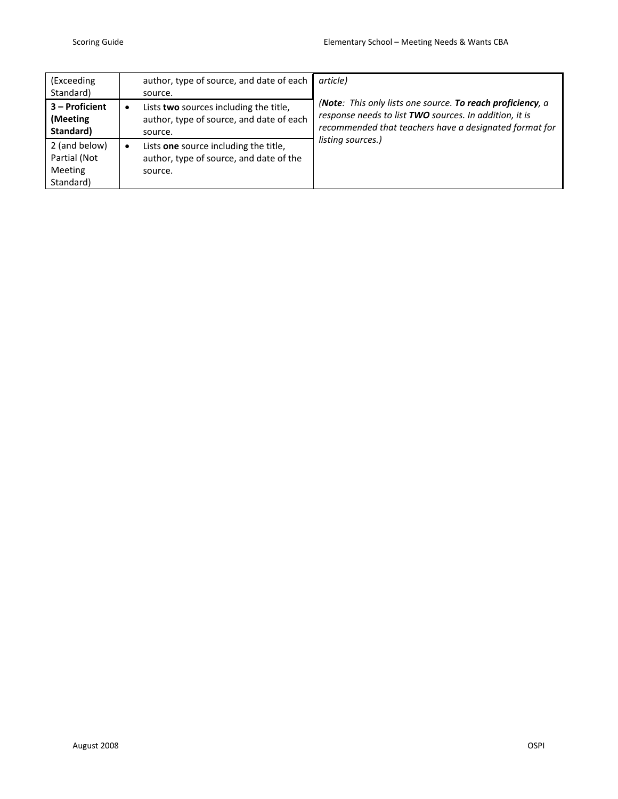| (Exceeding<br>Standard)                               | author, type of source, and date of each<br>source.                                                      | article)                                                                                                                                                                                            |
|-------------------------------------------------------|----------------------------------------------------------------------------------------------------------|-----------------------------------------------------------------------------------------------------------------------------------------------------------------------------------------------------|
| 3 - Proficient<br>(Meeting)<br>Standard)              | Lists two sources including the title,<br>٠<br>author, type of source, and date of each<br>source.       | (Note: This only lists one source. To reach proficiency, a<br>response needs to list TWO sources. In addition, it is<br>recommended that teachers have a designated format for<br>listing sources.) |
| 2 (and below)<br>Partial (Not<br>Meeting<br>Standard) | Lists one source including the title,<br>$\bullet$<br>author, type of source, and date of the<br>source. |                                                                                                                                                                                                     |